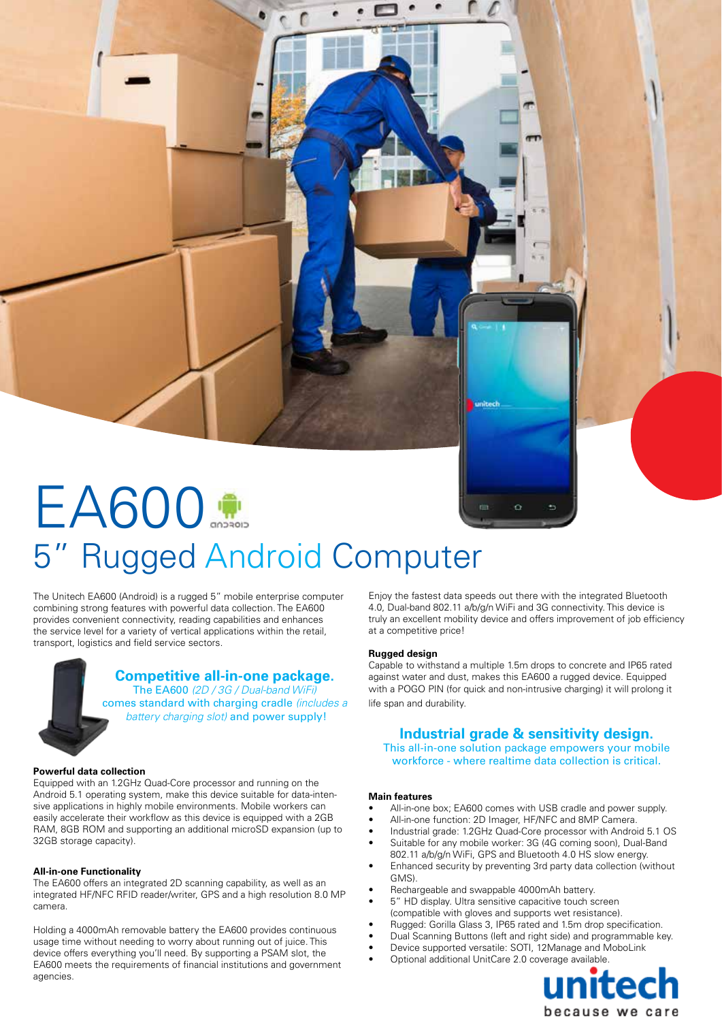# EA600 5" Rugged Android Computer

The Unitech EA600 (Android) is a rugged 5" mobile enterprise computer combining strong features with powerful data collection. The EA600 provides convenient connectivity, reading capabilities and enhances the service level for a variety of vertical applications within the retail, transport, logistics and field service sectors.

> **Competitive all-in-one package.**  The EA600 *(2D / 3G / Dual-band WiFi)* comes standard with charging cradle *(includes a battery charging slot)* and power supply!

#### **Powerful data collection**

Equipped with an 1.2GHz Quad-Core processor and running on the Android 5.1 operating system, make this device suitable for data-intensive applications in highly mobile environments. Mobile workers can easily accelerate their workflow as this device is equipped with a 2GB RAM, 8GB ROM and supporting an additional microSD expansion (up to 32GB storage capacity).

#### **All-in-one Functionality**

The EA600 offers an integrated 2D scanning capability, as well as an integrated HF/NFC RFID reader/writer, GPS and a high resolution 8.0 MP camera.

Holding a 4000mAh removable battery the EA600 provides continuous usage time without needing to worry about running out of juice. This device offers everything you'll need. By supporting a PSAM slot, the EA600 meets the requirements of financial institutions and government agencies.

Enjoy the fastest data speeds out there with the integrated Bluetooth 4.0, Dual-band 802.11 a/b/g/n WiFi and 3G connectivity. This device is truly an excellent mobility device and offers improvement of job efficiency at a competitive price!

#### **Rugged design**

Capable to withstand a multiple 1.5m drops to concrete and IP65 rated against water and dust, makes this EA600 a rugged device. Equipped with a POGO PIN (for quick and non-intrusive charging) it will prolong it life span and durability.

## **Industrial grade & sensitivity design.**

This all-in-one solution package empowers your mobile workforce - where realtime data collection is critical.

#### **Main features**

- All-in-one box; EA600 comes with USB cradle and power supply.
- All-in-one function: 2D Imager, HF/NFC and 8MP Camera.
- Industrial grade: 1.2GHz Quad-Core processor with Android 5.1 OS
- Suitable for any mobile worker: 3G (4G coming soon), Dual-Band 802.11 a/b/g/n WiFi, GPS and Bluetooth 4.0 HS slow energy.
- Enhanced security by preventing 3rd party data collection (without GMS).
- Rechargeable and swappable 4000mAh battery.
- 5" HD display. Ultra sensitive capacitive touch screen (compatible with gloves and supports wet resistance).
- Rugged: Gorilla Glass 3, IP65 rated and 1.5m drop specification.
- Dual Scanning Buttons (left and right side) and programmable key.
- Device supported versatile: SOTI, 12Manage and MoboLink
-